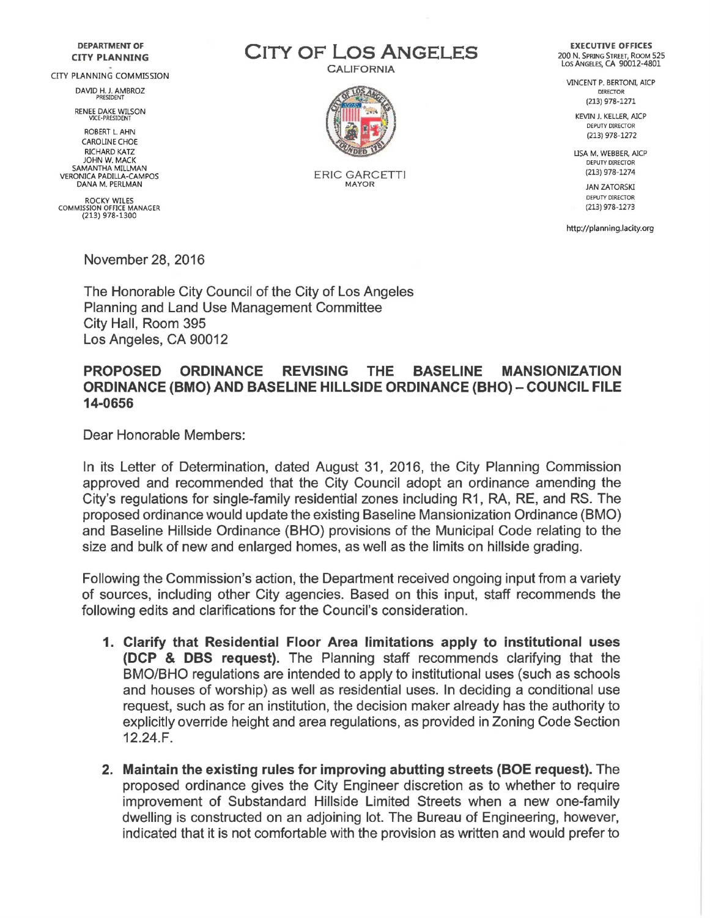## DEPARTMENT OF CITY PLANNING

CITY PLANNING COMMISSION

DAVID H. J. AMBROZ PRESIDENT

RENEE DAKE WILSON VICE-PRESIDENT

ROBERT L. AHN CAROLINE CHOE RICHARD KATZ JOHN W. MACK SAMANTHA MILLMAN VERONICA PADILLA-CAMPOS DANA M. PERLMAN

ROCKY WILES COMMISSION OFFICE MANAGER (213) 978-1300

November 28, 2016

The Honorable City Council of the City of Los Angeles Planning and Land Use Management Committee City Hall, Room 395 Los Angeles, CA 90012

## PROPOSED ORDINANCE REVISING THE BASELINE MANSIONIZATION ORDINANCE (BMO) AND BASELINE HILLSIDE ORDINANCE (BHO)- COUNCIL FILE 14-0656

Dear Honorable Members:

In its Letter of Determination, dated August 31, 2016, the City Planning Commission approved and recommended that the City Council adopt an ordinance amending the City's regulations for single-family residential zones including R1, RA, RE, and RS. The proposed ordinance would update the existing Baseline Mansionization Ordinance (BMO) and Baseline Hillside Ordinance (BHO) provisions of the Municipal Code relating to the size and bulk of new and enlarged homes, as well as the limits on hillside grading.

Following the Commission's action, the Department received ongoing input from a variety of sources, including other City agencies. Based on this input, staff recommends the following edits and clarifications for the Council's consideration.

- 1. Clarify that Residential Floor Area limitations apply to institutional uses (DCP & DBS request). The Planning staff recommends clarifying that the BMO/BHO regulations are intended to apply to institutional uses (such as schools and houses of worship) as well as residential uses. In deciding a conditional use request, such as for an institution, the decision maker already has the authority to explicitly override height and area regulations, as provided in Zoning Code Section 12.24.F.
- 2. Maintain the existing rules for improving abutting streets (BOE request). The proposed ordinance gives the City Engineer discretion as to whether to require improvement of Substandard Hillside Limited Streets when a new one-family dwelling is constructed on an adjoining lot. The Bureau of Engineering, however, indicated that it is not comfortable with the provision as written and would prefer to

CITY OF LOS ANGELES CALIFORNIA



ERIC GARCETTI MAYOR

EXECUTIVE OFFICES 200 N. SPRING STREET, ROOM 525 Los ANGELES, CA 90012-4801

VINCENT P. BERTONI, AICP DIRECTOR (213) 978-1271

> KEVIN J. KELLER, AICP DEPUTY DIRECTOR (213) 978-1272

LISA M. WEBBER, AICP DEPUTY DIRECTOR (213) 978-1274

> JAN ZATORSKI DEPUTY DIRECTOR (213) 978-1273

http://planning.lacity.org